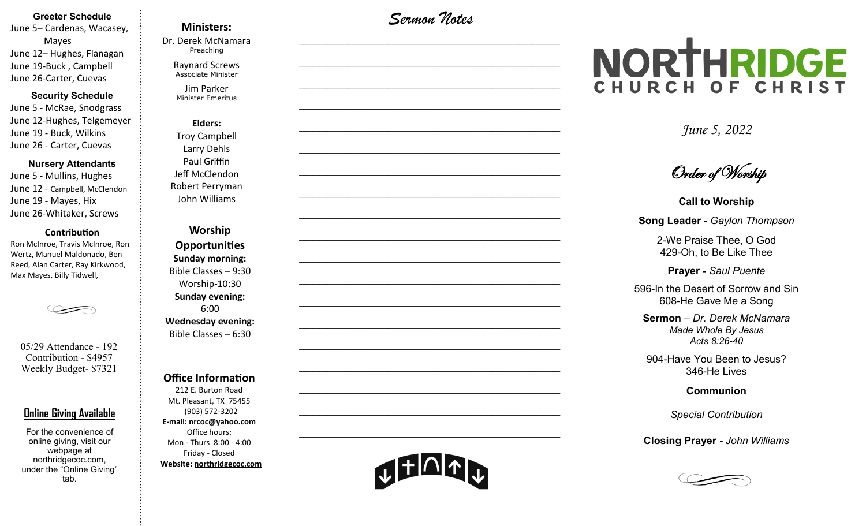#### **Greeter Schedule**

June 5– Cardenas, Wacasey, Mayes June 12– Hughes, Flanagan June 19-Buck , Campbell June 26-Carter, Cuevas

#### **Security Schedule**

June 5 - McRae, Snodgrass June 12-Hughes, Telgemeyer June 19 - Buck, Wilkins June 26 - Carter, Cuevas

#### **Nursery Attendants**

June 5 - Mullins, Hughes June 12 - Campbell, McClendon June 19 - Mayes, Hix June 26-Whitaker, Screws

#### **Contribution**

Ron McInroe, Travis McInroe, Ron Wertz, Manuel Maldonado, Ben Reed, Alan Carter, Ray Kirkwood, Max Mayes, Billy Tidwell,



05/29 Attendance - 192 Contribution - \$4957 Weekly Budget- \$7321

#### **Online Giving Available**

For the convenience of online giving, visit our webpage at northridgecoc.com, under the "Online Giving" tab.

#### **Ministers:**

Dr. Derek McNamara Preaching 

Raynard Screws Associate Minister

Jim Parker Minister Emeritus

**Elders:** Troy Campbell Larry Dehls Paul Griffin Jeff McClendon Robert Perryman John Williams

**Worship Opportunities Sunday morning:**  Bible Classes – 9:30 Worship-10:30 **Sunday evening:**  6:00 **Wednesday evening:** Bible Classes – 6:30

#### **Office Information**

212 E. Burton Road Mt. Pleasant, TX 75455 (903) 572-3202 **E-mail: nrcoc@yahoo.com** Office hours: Mon - Thurs 8:00 - 4:00 Friday - Closed **Website: northridgecoc.com**

*Sermon Notes*

 $\mathcal{L}_\text{max}$ 

 $\mathcal{L}_\text{max}$  , and the set of the set of the set of the set of the set of the set of the set of the set of the set of the set of the set of the set of the set of the set of the set of the set of the set of the set of the

 $\mathcal{L}_\text{max}$  , and the set of the set of the set of the set of the set of the set of the set of the set of the set of the set of the set of the set of the set of the set of the set of the set of the set of the set of the

 $\mathcal{L}_\text{max}$  , and the set of the set of the set of the set of the set of the set of the set of the set of the set of the set of the set of the set of the set of the set of the set of the set of the set of the set of the

 $\mathcal{L}_\text{max}$ 

 $\mathcal{L}_\text{max}$ 

 $\mathcal{L}_\text{max}$  , and the set of the set of the set of the set of the set of the set of the set of the set of the set of the set of the set of the set of the set of the set of the set of the set of the set of the set of the

 $\mathcal{L}_\text{max}$  , and the set of the set of the set of the set of the set of the set of the set of the set of the set of the set of the set of the set of the set of the set of the set of the set of the set of the set of the

 $\mathcal{L}_\text{max}$  , and the set of the set of the set of the set of the set of the set of the set of the set of the set of the set of the set of the set of the set of the set of the set of the set of the set of the set of the

 $\mathcal{L}_\text{max}$ 

 $\mathcal{L}_\text{max}$  , and the set of the set of the set of the set of the set of the set of the set of the set of the set of the set of the set of the set of the set of the set of the set of the set of the set of the set of the

 $\mathcal{L}_\text{max}$  , and the set of the set of the set of the set of the set of the set of the set of the set of the set of the set of the set of the set of the set of the set of the set of the set of the set of the set of the

 $\mathcal{L}_\text{max}$  , and the set of the set of the set of the set of the set of the set of the set of the set of the set of the set of the set of the set of the set of the set of the set of the set of the set of the set of the

 $\mathcal{L}_\text{max}$  , and the set of the set of the set of the set of the set of the set of the set of the set of the set of the set of the set of the set of the set of the set of the set of the set of the set of the set of the

 $\mathcal{L}_\text{max}$ 

 $\mathcal{L}_\text{max}$  , and the set of the set of the set of the set of the set of the set of the set of the set of the set of the set of the set of the set of the set of the set of the set of the set of the set of the set of the

 $\mathcal{L}_\text{max}$  , and the set of the set of the set of the set of the set of the set of the set of the set of the set of the set of the set of the set of the set of the set of the set of the set of the set of the set of the

 $\mathcal{L}_\text{max}$  , and the set of the set of the set of the set of the set of the set of the set of the set of the set of the set of the set of the set of the set of the set of the set of the set of the set of the set of the

 $\mathcal{L}_\text{max}$  , and the set of the set of the set of the set of the set of the set of the set of the set of the set of the set of the set of the set of the set of the set of the set of the set of the set of the set of the

# NORTHRIDGE CHURCH OF CHRIST

*June 5, 2022*

Order of Worship

**Call to Worship Song Leader** *- Gaylon Thompson*

2-We Praise Thee, O God 429-Oh, to Be Like Thee

**Prayer -** *Saul Puente*

596-In the Desert of Sorrow and Sin 608-He Gave Me a Song

**Sermon** – *Dr. Derek McNamara Made Whole By Jesus Acts 8:26-40*

904-Have You Been to Jesus? 346-He Lives

**Communion** 

*Special Contribution*

**Closing Prayer** *- John Williams*